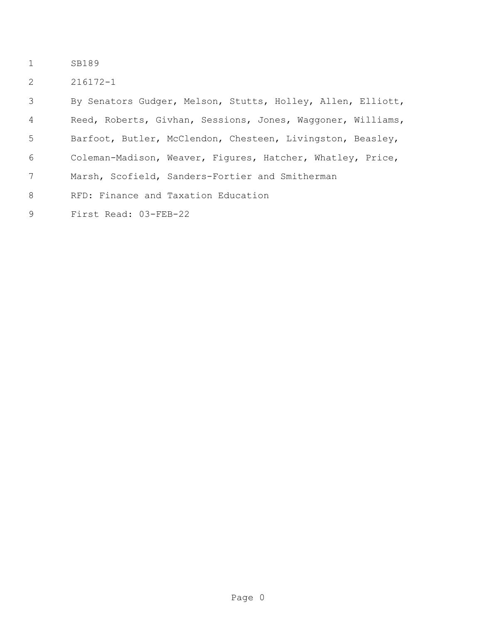- SB189
- 216172-1

 By Senators Gudger, Melson, Stutts, Holley, Allen, Elliott, Reed, Roberts, Givhan, Sessions, Jones, Waggoner, Williams, Barfoot, Butler, McClendon, Chesteen, Livingston, Beasley, Coleman-Madison, Weaver, Figures, Hatcher, Whatley, Price, Marsh, Scofield, Sanders-Fortier and Smitherman RFD: Finance and Taxation Education First Read: 03-FEB-22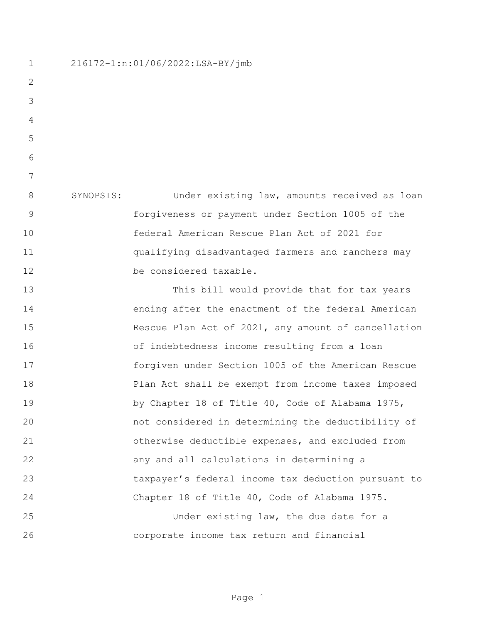## 216172-1:n:01/06/2022:LSA-BY/jmb

 SYNOPSIS: Under existing law, amounts received as loan forgiveness or payment under Section 1005 of the federal American Rescue Plan Act of 2021 for qualifying disadvantaged farmers and ranchers may be considered taxable.

 This bill would provide that for tax years ending after the enactment of the federal American Rescue Plan Act of 2021, any amount of cancellation of indebtedness income resulting from a loan forgiven under Section 1005 of the American Rescue Plan Act shall be exempt from income taxes imposed by Chapter 18 of Title 40, Code of Alabama 1975, not considered in determining the deductibility of otherwise deductible expenses, and excluded from any and all calculations in determining a taxpayer's federal income tax deduction pursuant to Chapter 18 of Title 40, Code of Alabama 1975. Under existing law, the due date for a

corporate income tax return and financial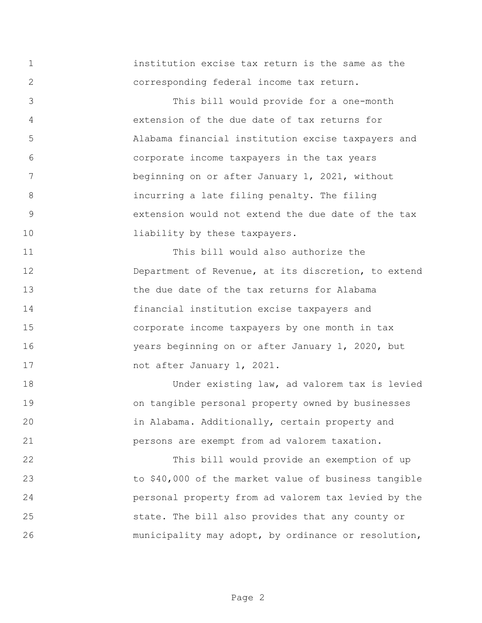institution excise tax return is the same as the corresponding federal income tax return.

 This bill would provide for a one-month extension of the due date of tax returns for Alabama financial institution excise taxpayers and corporate income taxpayers in the tax years beginning on or after January 1, 2021, without incurring a late filing penalty. The filing extension would not extend the due date of the tax 10 1iability by these taxpayers.

 This bill would also authorize the Department of Revenue, at its discretion, to extend the due date of the tax returns for Alabama financial institution excise taxpayers and corporate income taxpayers by one month in tax years beginning on or after January 1, 2020, but 17 not after January 1, 2021.

 Under existing law, ad valorem tax is levied on tangible personal property owned by businesses in Alabama. Additionally, certain property and persons are exempt from ad valorem taxation.

 This bill would provide an exemption of up to \$40,000 of the market value of business tangible personal property from ad valorem tax levied by the state. The bill also provides that any county or municipality may adopt, by ordinance or resolution,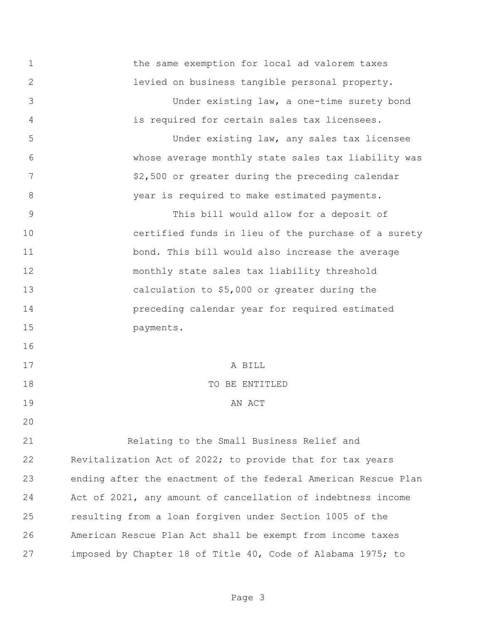the same exemption for local ad valorem taxes levied on business tangible personal property. Under existing law, a one-time surety bond is required for certain sales tax licensees. Under existing law, any sales tax licensee whose average monthly state sales tax liability was 7 52,500 or greater during the preceding calendar year is required to make estimated payments. This bill would allow for a deposit of certified funds in lieu of the purchase of a surety bond. This bill would also increase the average monthly state sales tax liability threshold calculation to \$5,000 or greater during the preceding calendar year for required estimated payments. 17 A BILL TO BE ENTITLED 19 AN ACT Relating to the Small Business Relief and Revitalization Act of 2022; to provide that for tax years ending after the enactment of the federal American Rescue Plan Act of 2021, any amount of cancellation of indebtness income resulting from a loan forgiven under Section 1005 of the American Rescue Plan Act shall be exempt from income taxes imposed by Chapter 18 of Title 40, Code of Alabama 1975; to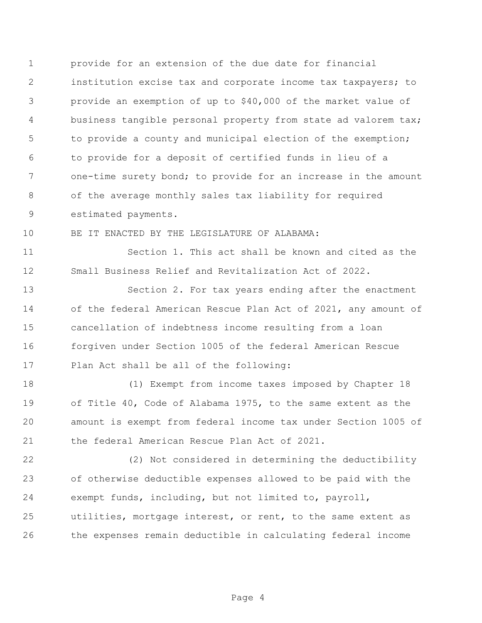provide for an extension of the due date for financial institution excise tax and corporate income tax taxpayers; to provide an exemption of up to \$40,000 of the market value of business tangible personal property from state ad valorem tax; to provide a county and municipal election of the exemption; to provide for a deposit of certified funds in lieu of a one-time surety bond; to provide for an increase in the amount of the average monthly sales tax liability for required estimated payments.

BE IT ENACTED BY THE LEGISLATURE OF ALABAMA:

 Section 1. This act shall be known and cited as the Small Business Relief and Revitalization Act of 2022.

 Section 2. For tax years ending after the enactment of the federal American Rescue Plan Act of 2021, any amount of cancellation of indebtness income resulting from a loan forgiven under Section 1005 of the federal American Rescue Plan Act shall be all of the following:

 (1) Exempt from income taxes imposed by Chapter 18 of Title 40, Code of Alabama 1975, to the same extent as the amount is exempt from federal income tax under Section 1005 of the federal American Rescue Plan Act of 2021.

 (2) Not considered in determining the deductibility of otherwise deductible expenses allowed to be paid with the exempt funds, including, but not limited to, payroll, utilities, mortgage interest, or rent, to the same extent as the expenses remain deductible in calculating federal income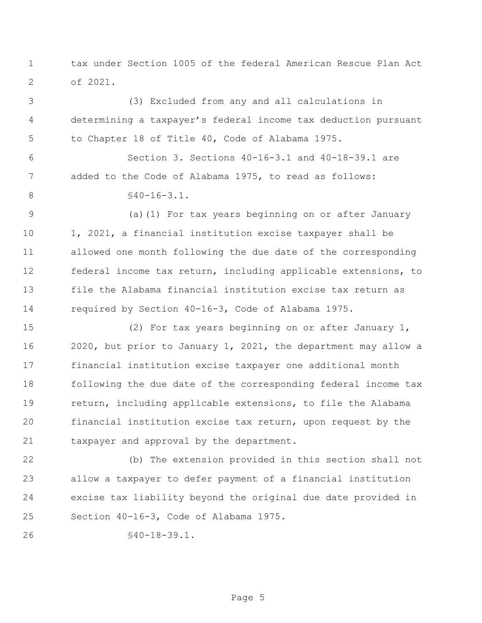tax under Section 1005 of the federal American Rescue Plan Act of 2021.

 (3) Excluded from any and all calculations in determining a taxpayer's federal income tax deduction pursuant to Chapter 18 of Title 40, Code of Alabama 1975.

 Section 3. Sections 40-16-3.1 and 40-18-39.1 are added to the Code of Alabama 1975, to read as follows: 8 \$40-16-3.1.

 (a)(1) For tax years beginning on or after January 1, 2021, a financial institution excise taxpayer shall be allowed one month following the due date of the corresponding federal income tax return, including applicable extensions, to file the Alabama financial institution excise tax return as required by Section 40-16-3, Code of Alabama 1975.

 (2) For tax years beginning on or after January 1, 2020, but prior to January 1, 2021, the department may allow a financial institution excise taxpayer one additional month following the due date of the corresponding federal income tax return, including applicable extensions, to file the Alabama financial institution excise tax return, upon request by the 21 taxpayer and approval by the department.

 (b) The extension provided in this section shall not allow a taxpayer to defer payment of a financial institution excise tax liability beyond the original due date provided in Section 40-16-3, Code of Alabama 1975.

§40-18-39.1.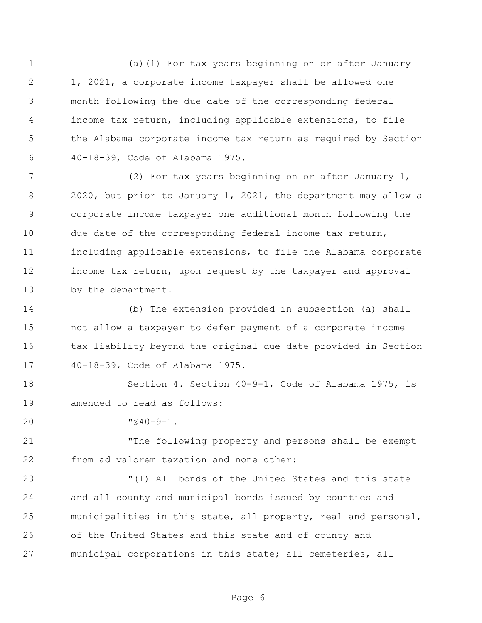(a)(1) For tax years beginning on or after January 1, 2021, a corporate income taxpayer shall be allowed one month following the due date of the corresponding federal income tax return, including applicable extensions, to file the Alabama corporate income tax return as required by Section 40-18-39, Code of Alabama 1975.

 (2) For tax years beginning on or after January 1, 2020, but prior to January 1, 2021, the department may allow a corporate income taxpayer one additional month following the due date of the corresponding federal income tax return, including applicable extensions, to file the Alabama corporate 12 income tax return, upon request by the taxpayer and approval by the department.

 (b) The extension provided in subsection (a) shall not allow a taxpayer to defer payment of a corporate income tax liability beyond the original due date provided in Section 40-18-39, Code of Alabama 1975.

 Section 4. Section 40-9-1, Code of Alabama 1975, is amended to read as follows:

"§40-9-1.

 "The following property and persons shall be exempt from ad valorem taxation and none other:

 "(1) All bonds of the United States and this state and all county and municipal bonds issued by counties and municipalities in this state, all property, real and personal, of the United States and this state and of county and municipal corporations in this state; all cemeteries, all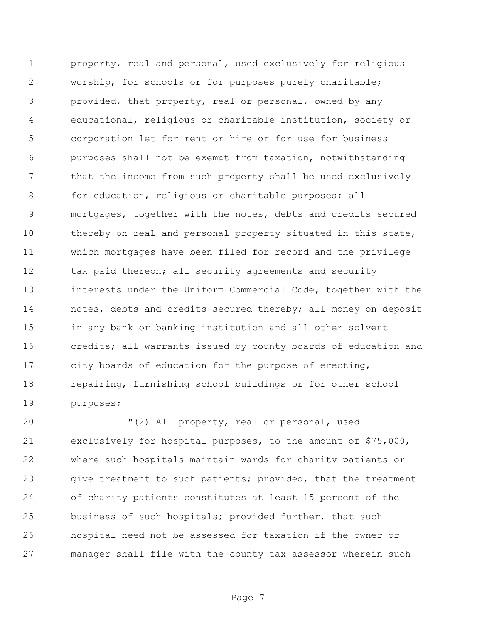property, real and personal, used exclusively for religious worship, for schools or for purposes purely charitable; provided, that property, real or personal, owned by any educational, religious or charitable institution, society or corporation let for rent or hire or for use for business purposes shall not be exempt from taxation, notwithstanding that the income from such property shall be used exclusively 8 for education, religious or charitable purposes; all mortgages, together with the notes, debts and credits secured thereby on real and personal property situated in this state, which mortgages have been filed for record and the privilege 12 tax paid thereon; all security agreements and security interests under the Uniform Commercial Code, together with the 14 notes, debts and credits secured thereby; all money on deposit in any bank or banking institution and all other solvent credits; all warrants issued by county boards of education and city boards of education for the purpose of erecting, repairing, furnishing school buildings or for other school purposes;

 "(2) All property, real or personal, used exclusively for hospital purposes, to the amount of \$75,000, where such hospitals maintain wards for charity patients or give treatment to such patients; provided, that the treatment of charity patients constitutes at least 15 percent of the business of such hospitals; provided further, that such hospital need not be assessed for taxation if the owner or manager shall file with the county tax assessor wherein such

Page 7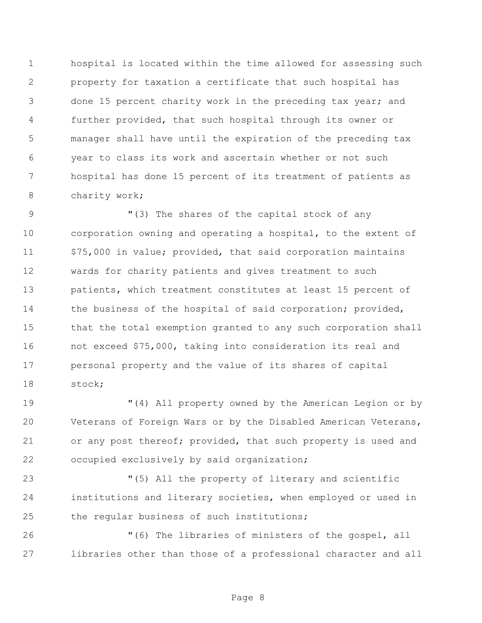hospital is located within the time allowed for assessing such property for taxation a certificate that such hospital has done 15 percent charity work in the preceding tax year; and further provided, that such hospital through its owner or manager shall have until the expiration of the preceding tax year to class its work and ascertain whether or not such hospital has done 15 percent of its treatment of patients as 8 charity work;

9 "(3) The shares of the capital stock of any corporation owning and operating a hospital, to the extent of 11 \$75,000 in value; provided, that said corporation maintains wards for charity patients and gives treatment to such patients, which treatment constitutes at least 15 percent of 14 the business of the hospital of said corporation; provided, that the total exemption granted to any such corporation shall not exceed \$75,000, taking into consideration its real and personal property and the value of its shares of capital stock;

 "(4) All property owned by the American Legion or by Veterans of Foreign Wars or by the Disabled American Veterans, or any post thereof; provided, that such property is used and occupied exclusively by said organization;

 "(5) All the property of literary and scientific institutions and literary societies, when employed or used in the regular business of such institutions;

 "(6) The libraries of ministers of the gospel, all libraries other than those of a professional character and all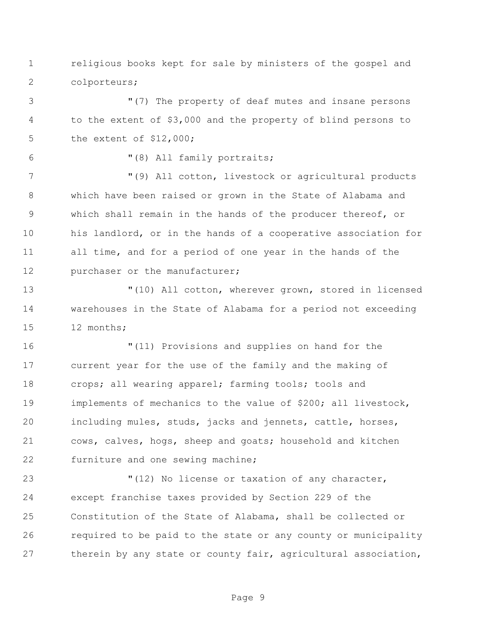religious books kept for sale by ministers of the gospel and colporteurs;

 "(7) The property of deaf mutes and insane persons to the extent of \$3,000 and the property of blind persons to the extent of \$12,000;

"(8) All family portraits;

 "(9) All cotton, livestock or agricultural products which have been raised or grown in the State of Alabama and which shall remain in the hands of the producer thereof, or his landlord, or in the hands of a cooperative association for all time, and for a period of one year in the hands of the **purchaser or the manufacturer;** 

 "(10) All cotton, wherever grown, stored in licensed warehouses in the State of Alabama for a period not exceeding 12 months;

 "(11) Provisions and supplies on hand for the current year for the use of the family and the making of 18 crops; all wearing apparel; farming tools; tools and implements of mechanics to the value of \$200; all livestock, including mules, studs, jacks and jennets, cattle, horses, cows, calves, hogs, sheep and goats; household and kitchen furniture and one sewing machine;

23 The U(12) No license or taxation of any character, except franchise taxes provided by Section 229 of the Constitution of the State of Alabama, shall be collected or required to be paid to the state or any county or municipality therein by any state or county fair, agricultural association,

Page 9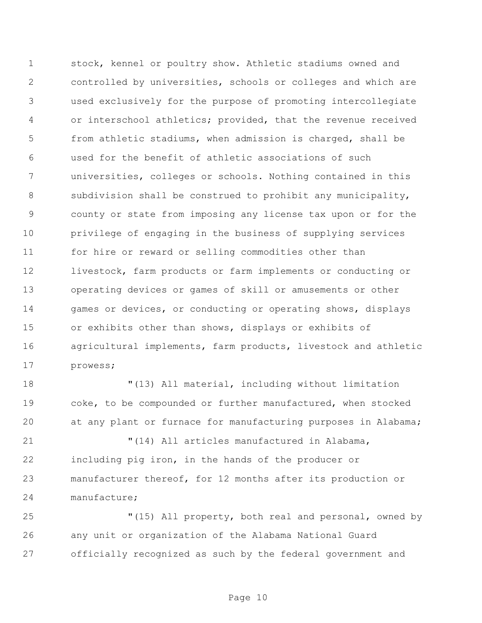stock, kennel or poultry show. Athletic stadiums owned and controlled by universities, schools or colleges and which are used exclusively for the purpose of promoting intercollegiate or interschool athletics; provided, that the revenue received from athletic stadiums, when admission is charged, shall be used for the benefit of athletic associations of such universities, colleges or schools. Nothing contained in this subdivision shall be construed to prohibit any municipality, county or state from imposing any license tax upon or for the privilege of engaging in the business of supplying services for hire or reward or selling commodities other than 12 livestock, farm products or farm implements or conducting or operating devices or games of skill or amusements or other 14 games or devices, or conducting or operating shows, displays or exhibits other than shows, displays or exhibits of agricultural implements, farm products, livestock and athletic prowess;

 "(13) All material, including without limitation coke, to be compounded or further manufactured, when stocked 20 at any plant or furnace for manufacturing purposes in Alabama;

 "(14) All articles manufactured in Alabama, including pig iron, in the hands of the producer or manufacturer thereof, for 12 months after its production or manufacture;

 "(15) All property, both real and personal, owned by any unit or organization of the Alabama National Guard officially recognized as such by the federal government and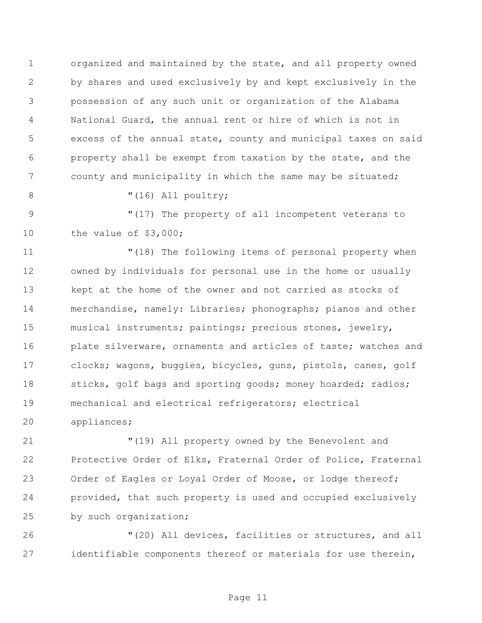organized and maintained by the state, and all property owned by shares and used exclusively by and kept exclusively in the possession of any such unit or organization of the Alabama National Guard, the annual rent or hire of which is not in excess of the annual state, county and municipal taxes on said property shall be exempt from taxation by the state, and the county and municipality in which the same may be situated;

8  $\blacksquare(16)$  All poultry;

9 "(17) The property of all incompetent veterans to the value of \$3,000;

 "(18) The following items of personal property when owned by individuals for personal use in the home or usually kept at the home of the owner and not carried as stocks of merchandise, namely: Libraries; phonographs; pianos and other musical instruments; paintings; precious stones, jewelry, 16 plate silverware, ornaments and articles of taste; watches and clocks; wagons, buggies, bicycles, guns, pistols, canes, golf 18 sticks, golf bags and sporting goods; money hoarded; radios; mechanical and electrical refrigerators; electrical appliances;

 "(19) All property owned by the Benevolent and Protective Order of Elks, Fraternal Order of Police, Fraternal 23 Order of Eagles or Loyal Order of Moose, or lodge thereof; provided, that such property is used and occupied exclusively by such organization;

 "(20) All devices, facilities or structures, and all identifiable components thereof or materials for use therein,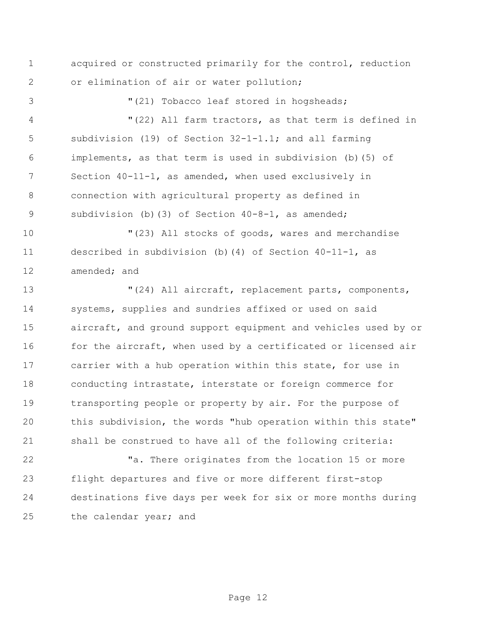acquired or constructed primarily for the control, reduction or elimination of air or water pollution;

3  $(21)$  Tobacco leaf stored in hogsheads;

 "(22) All farm tractors, as that term is defined in subdivision (19) of Section 32-1-1.1; and all farming implements, as that term is used in subdivision (b)(5) of Section 40-11-1, as amended, when used exclusively in connection with agricultural property as defined in subdivision (b)(3) of Section 40-8-1, as amended;

 "(23) All stocks of goods, wares and merchandise described in subdivision (b)(4) of Section 40-11-1, as amended; and

 "(24) All aircraft, replacement parts, components, systems, supplies and sundries affixed or used on said aircraft, and ground support equipment and vehicles used by or 16 for the aircraft, when used by a certificated or licensed air carrier with a hub operation within this state, for use in conducting intrastate, interstate or foreign commerce for transporting people or property by air. For the purpose of this subdivision, the words "hub operation within this state" shall be construed to have all of the following criteria:

 "a. There originates from the location 15 or more flight departures and five or more different first-stop destinations five days per week for six or more months during the calendar year; and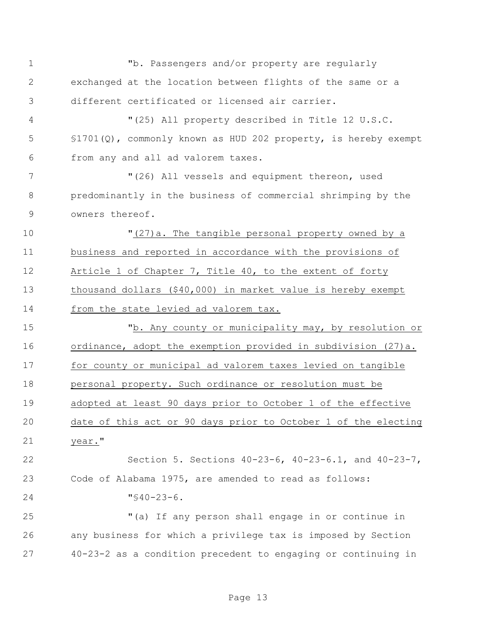"b. Passengers and/or property are regularly exchanged at the location between flights of the same or a different certificated or licensed air carrier. "(25) All property described in Title 12 U.S.C. §1701(Q), commonly known as HUD 202 property, is hereby exempt from any and all ad valorem taxes. "(26) All vessels and equipment thereon, used predominantly in the business of commercial shrimping by the owners thereof. "(27)a. The tangible personal property owned by a business and reported in accordance with the provisions of Article 1 of Chapter 7, Title 40, to the extent of forty thousand dollars (\$40,000) in market value is hereby exempt from the state levied ad valorem tax. "b. Any county or municipality may, by resolution or ordinance, adopt the exemption provided in subdivision (27)a. for county or municipal ad valorem taxes levied on tangible personal property. Such ordinance or resolution must be adopted at least 90 days prior to October 1 of the effective date of this act or 90 days prior to October 1 of the electing year." Section 5. Sections 40-23-6, 40-23-6.1, and 40-23-7, Code of Alabama 1975, are amended to read as follows: "§40-23-6. "(a) If any person shall engage in or continue in any business for which a privilege tax is imposed by Section 40-23-2 as a condition precedent to engaging or continuing in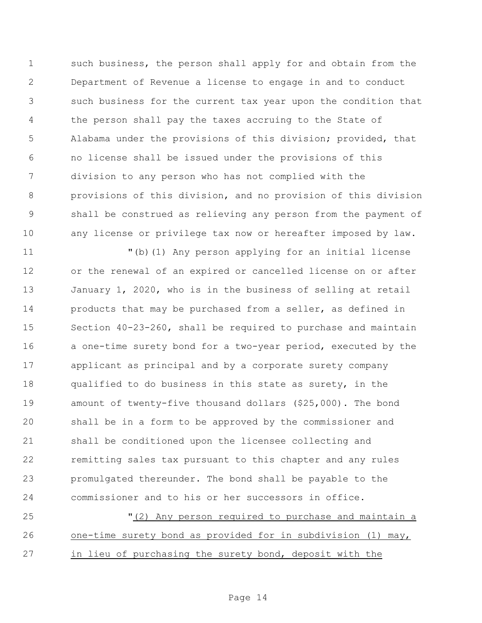such business, the person shall apply for and obtain from the Department of Revenue a license to engage in and to conduct such business for the current tax year upon the condition that the person shall pay the taxes accruing to the State of Alabama under the provisions of this division; provided, that no license shall be issued under the provisions of this division to any person who has not complied with the provisions of this division, and no provision of this division shall be construed as relieving any person from the payment of any license or privilege tax now or hereafter imposed by law.

 "(b)(1) Any person applying for an initial license or the renewal of an expired or cancelled license on or after January 1, 2020, who is in the business of selling at retail products that may be purchased from a seller, as defined in Section 40-23-260, shall be required to purchase and maintain a one-time surety bond for a two-year period, executed by the applicant as principal and by a corporate surety company qualified to do business in this state as surety, in the amount of twenty-five thousand dollars (\$25,000). The bond shall be in a form to be approved by the commissioner and shall be conditioned upon the licensee collecting and remitting sales tax pursuant to this chapter and any rules promulgated thereunder. The bond shall be payable to the commissioner and to his or her successors in office.

 "(2) Any person required to purchase and maintain a one-time surety bond as provided for in subdivision (1) may, in lieu of purchasing the surety bond, deposit with the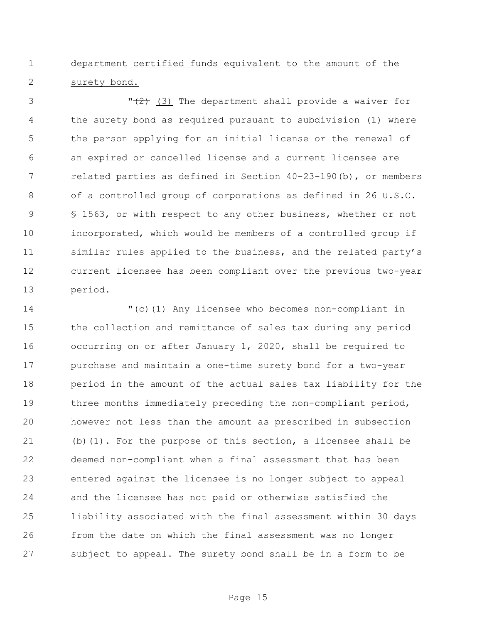department certified funds equivalent to the amount of the surety bond.

 $\frac{1}{2}$  (3) The department shall provide a waiver for the surety bond as required pursuant to subdivision (1) where the person applying for an initial license or the renewal of an expired or cancelled license and a current licensee are related parties as defined in Section 40-23-190(b), or members of a controlled group of corporations as defined in 26 U.S.C. § 1563, or with respect to any other business, whether or not incorporated, which would be members of a controlled group if similar rules applied to the business, and the related party's current licensee has been compliant over the previous two-year period.

 "(c)(1) Any licensee who becomes non-compliant in the collection and remittance of sales tax during any period occurring on or after January 1, 2020, shall be required to purchase and maintain a one-time surety bond for a two-year period in the amount of the actual sales tax liability for the three months immediately preceding the non-compliant period, however not less than the amount as prescribed in subsection (b)(1). For the purpose of this section, a licensee shall be deemed non-compliant when a final assessment that has been entered against the licensee is no longer subject to appeal and the licensee has not paid or otherwise satisfied the liability associated with the final assessment within 30 days from the date on which the final assessment was no longer subject to appeal. The surety bond shall be in a form to be

Page 15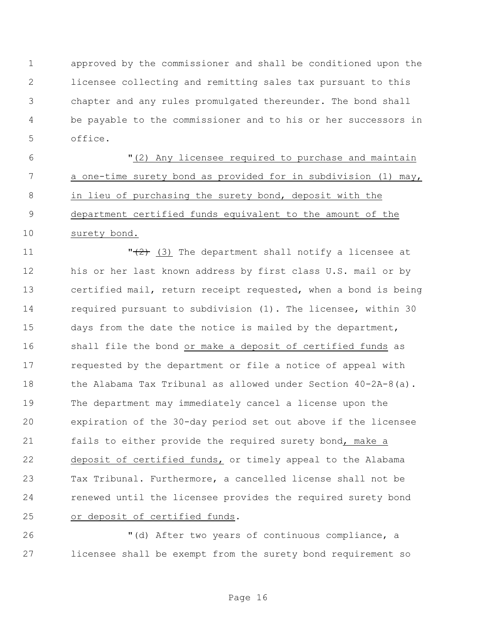approved by the commissioner and shall be conditioned upon the licensee collecting and remitting sales tax pursuant to this chapter and any rules promulgated thereunder. The bond shall be payable to the commissioner and to his or her successors in office.

 "(2) Any licensee required to purchase and maintain 7 a one-time surety bond as provided for in subdivision (1) may, in lieu of purchasing the surety bond, deposit with the department certified funds equivalent to the amount of the surety bond.

 $\sqrt{2}$  (3) The department shall notify a licensee at 12 his or her last known address by first class U.S. mail or by certified mail, return receipt requested, when a bond is being required pursuant to subdivision (1). The licensee, within 30 days from the date the notice is mailed by the department, shall file the bond or make a deposit of certified funds as requested by the department or file a notice of appeal with the Alabama Tax Tribunal as allowed under Section 40-2A-8(a). The department may immediately cancel a license upon the expiration of the 30-day period set out above if the licensee fails to either provide the required surety bond, make a deposit of certified funds, or timely appeal to the Alabama Tax Tribunal. Furthermore, a cancelled license shall not be renewed until the licensee provides the required surety bond or deposit of certified funds.

 "(d) After two years of continuous compliance, a licensee shall be exempt from the surety bond requirement so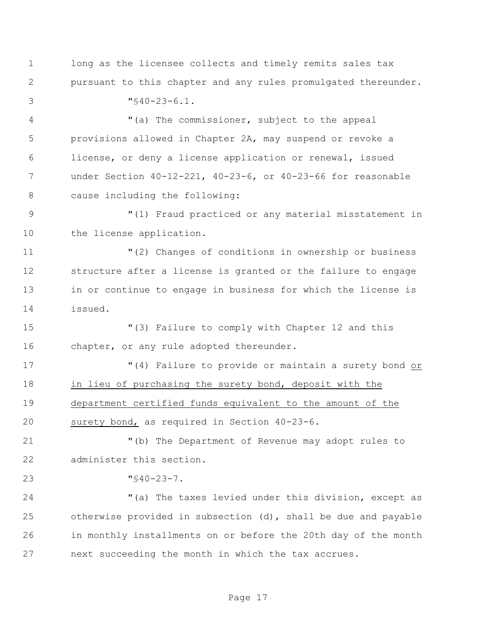long as the licensee collects and timely remits sales tax pursuant to this chapter and any rules promulgated thereunder.

"§40-23-6.1.

 "(a) The commissioner, subject to the appeal provisions allowed in Chapter 2A, may suspend or revoke a license, or deny a license application or renewal, issued under Section 40-12-221, 40-23-6, or 40-23-66 for reasonable cause including the following:

 "(1) Fraud practiced or any material misstatement in the license application.

 "(2) Changes of conditions in ownership or business structure after a license is granted or the failure to engage in or continue to engage in business for which the license is issued.

 "(3) Failure to comply with Chapter 12 and this 16 chapter, or any rule adopted thereunder.

17 The T (4) Failure to provide or maintain a surety bond or in lieu of purchasing the surety bond, deposit with the department certified funds equivalent to the amount of the surety bond, as required in Section 40-23-6.

 "(b) The Department of Revenue may adopt rules to administer this section.

"§40-23-7.

 "(a) The taxes levied under this division, except as otherwise provided in subsection (d), shall be due and payable in monthly installments on or before the 20th day of the month next succeeding the month in which the tax accrues.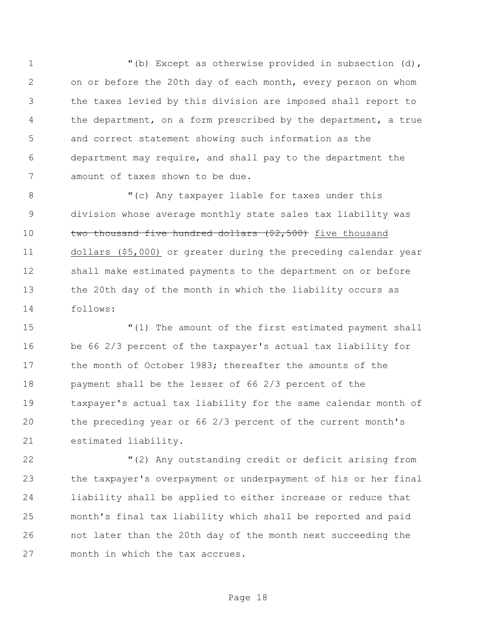1 "(b) Except as otherwise provided in subsection (d), on or before the 20th day of each month, every person on whom the taxes levied by this division are imposed shall report to 4 the department, on a form prescribed by the department, a true and correct statement showing such information as the department may require, and shall pay to the department the amount of taxes shown to be due.

8 T(c) Any taxpayer liable for taxes under this division whose average monthly state sales tax liability was 10 two thousand five hundred dollars (\$2,500) five thousand dollars (\$5,000) or greater during the preceding calendar year shall make estimated payments to the department on or before the 20th day of the month in which the liability occurs as follows:

 "(1) The amount of the first estimated payment shall be 66 2/3 percent of the taxpayer's actual tax liability for 17 the month of October 1983; thereafter the amounts of the payment shall be the lesser of 66 2/3 percent of the taxpayer's actual tax liability for the same calendar month of the preceding year or 66 2/3 percent of the current month's estimated liability.

 "(2) Any outstanding credit or deficit arising from the taxpayer's overpayment or underpayment of his or her final liability shall be applied to either increase or reduce that month's final tax liability which shall be reported and paid not later than the 20th day of the month next succeeding the month in which the tax accrues.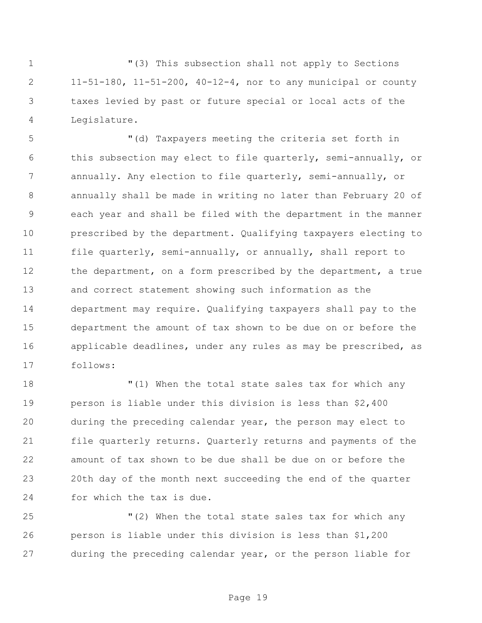"(3) This subsection shall not apply to Sections 11-51-180, 11-51-200, 40-12-4, nor to any municipal or county taxes levied by past or future special or local acts of the Legislature.

 "(d) Taxpayers meeting the criteria set forth in this subsection may elect to file quarterly, semi-annually, or annually. Any election to file quarterly, semi-annually, or annually shall be made in writing no later than February 20 of each year and shall be filed with the department in the manner prescribed by the department. Qualifying taxpayers electing to file quarterly, semi-annually, or annually, shall report to 12 the department, on a form prescribed by the department, a true and correct statement showing such information as the department may require. Qualifying taxpayers shall pay to the department the amount of tax shown to be due on or before the applicable deadlines, under any rules as may be prescribed, as follows:

18 T(1) When the total state sales tax for which any person is liable under this division is less than \$2,400 during the preceding calendar year, the person may elect to file quarterly returns. Quarterly returns and payments of the amount of tax shown to be due shall be due on or before the 20th day of the month next succeeding the end of the quarter for which the tax is due.

 "(2) When the total state sales tax for which any person is liable under this division is less than \$1,200 during the preceding calendar year, or the person liable for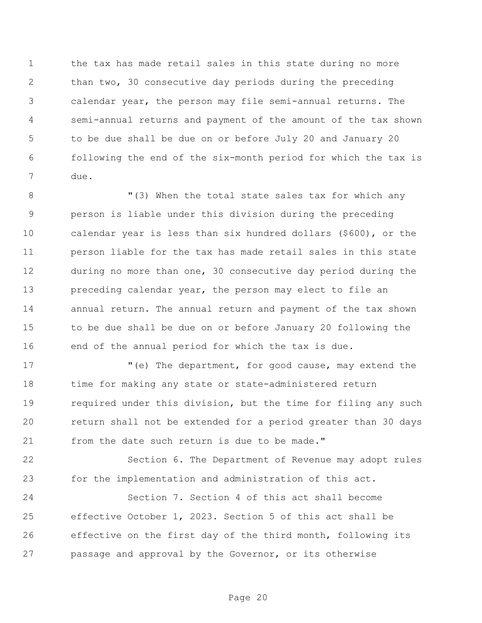the tax has made retail sales in this state during no more than two, 30 consecutive day periods during the preceding calendar year, the person may file semi-annual returns. The semi-annual returns and payment of the amount of the tax shown to be due shall be due on or before July 20 and January 20 following the end of the six-month period for which the tax is due.

8 T(3) When the total state sales tax for which any person is liable under this division during the preceding calendar year is less than six hundred dollars (\$600), or the person liable for the tax has made retail sales in this state during no more than one, 30 consecutive day period during the preceding calendar year, the person may elect to file an annual return. The annual return and payment of the tax shown to be due shall be due on or before January 20 following the end of the annual period for which the tax is due.

17 The department, for good cause, may extend the time for making any state or state-administered return required under this division, but the time for filing any such return shall not be extended for a period greater than 30 days from the date such return is due to be made."

 Section 6. The Department of Revenue may adopt rules for the implementation and administration of this act.

 Section 7. Section 4 of this act shall become effective October 1, 2023. Section 5 of this act shall be effective on the first day of the third month, following its passage and approval by the Governor, or its otherwise

Page 20